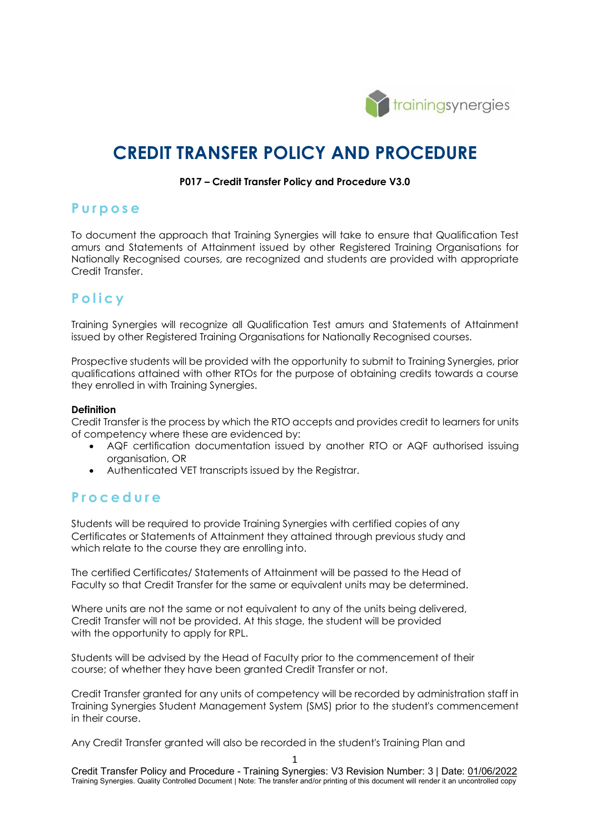

# **CREDIT TRANSFER POLICY AND PROCEDURE**

#### **P017 – Credit Transfer Policy and Procedure V3.0**

### **Purpose**

To document the approach that Training Synergies will take to ensure that Qualification Test amurs and Statements of Attainment issued by other Registered Training Organisations for Nationally Recognised courses, are recognized and students are provided with appropriate Credit Transfer.

## **Policy**

Training Synergies will recognize all Qualification Test amurs and Statements of Attainment issued by other Registered Training Organisations for Nationally Recognised courses.

Prospective students will be provided with the opportunity to submit to Training Synergies, prior qualifications attained with other RTOs for the purpose of obtaining credits towards a course they enrolled in with Training Synergies.

#### **Definition**

Credit Transfer is the process by which the RTO accepts and provides credit to learners for units of competency where these are evidenced by:

- AQF certification documentation issued by another RTO or AQF authorised issuing organisation, OR
- Authenticated VET transcripts issued by the Registrar.

## **Procedure**

Students will be required to provide Training Synergies with certified copies of any Certificates or Statements of Attainment they attained through previous study and which relate to the course they are enrolling into.

The certified Certificates/ Statements of Attainment will be passed to the Head of Faculty so that Credit Transfer for the same or equivalent units may be determined.

Where units are not the same or not equivalent to any of the units being delivered, Credit Transfer will not be provided. At this stage, the student will be provided with the opportunity to apply for RPL.

Students will be advised by the Head of Faculty prior to the commencement of their course; of whether they have been granted Credit Transfer or not.

Credit Transfer granted for any units of competency will be recorded by administration staff in Training Synergies Student Management System (SMS) prior to the student's commencement in their course.

Any Credit Transfer granted will also be recorded in the student's Training Plan and